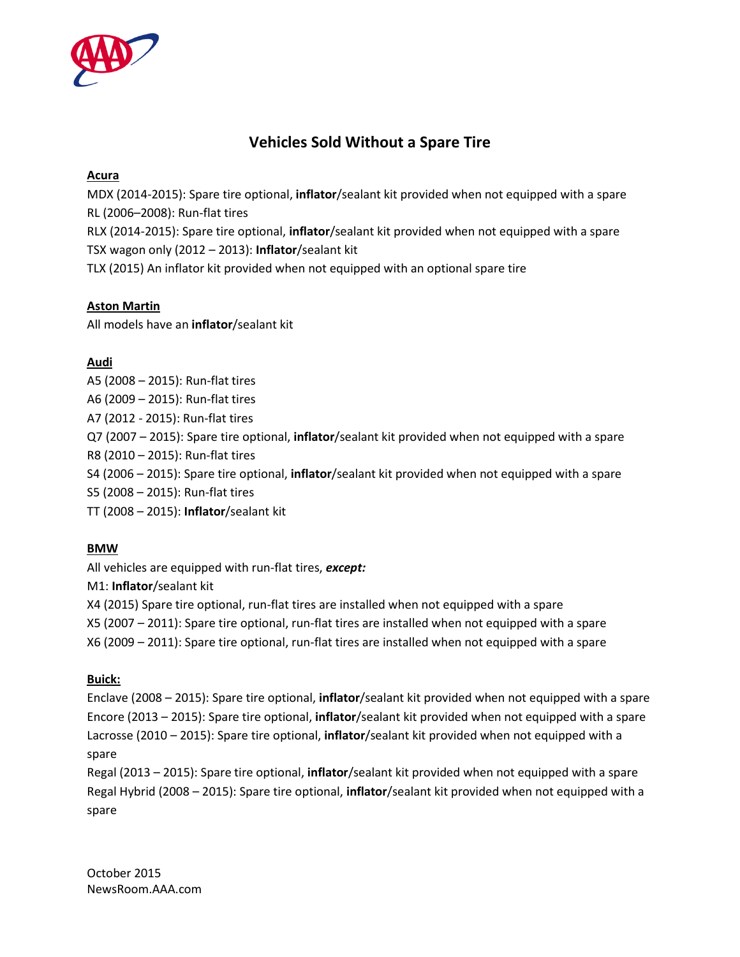

# **Vehicles Sold Without a Spare Tire**

# **Acura**

MDX (2014-2015): Spare tire optional, **inflator**/sealant kit provided when not equipped with a spare RL (2006–2008): Run-flat tires

RLX (2014-2015): Spare tire optional, **inflator**/sealant kit provided when not equipped with a spare TSX wagon only (2012 – 2013): **Inflator**/sealant kit

TLX (2015) An inflator kit provided when not equipped with an optional spare tire

# **Aston Martin**

All models have an **inflator**/sealant kit

# **Audi**

- A5 (2008 2015): Run-flat tires
- A6 (2009 2015): Run-flat tires
- A7 (2012 2015): Run-flat tires
- Q7 (2007 2015): Spare tire optional, **inflator**/sealant kit provided when not equipped with a spare
- R8 (2010 2015): Run-flat tires
- S4 (2006 2015): Spare tire optional, **inflator**/sealant kit provided when not equipped with a spare
- S5 (2008 2015): Run-flat tires
- TT (2008 2015): **Inflator**/sealant kit

# **BMW**

All vehicles are equipped with run-flat tires, *except:*

M1: **Inflator**/sealant kit

X4 (2015) Spare tire optional, run-flat tires are installed when not equipped with a spare

X5 (2007 – 2011): Spare tire optional, run-flat tires are installed when not equipped with a spare

X6 (2009 – 2011): Spare tire optional, run-flat tires are installed when not equipped with a spare

# **Buick:**

Enclave (2008 – 2015): Spare tire optional, **inflator**/sealant kit provided when not equipped with a spare Encore (2013 – 2015): Spare tire optional, **inflator**/sealant kit provided when not equipped with a spare Lacrosse (2010 – 2015): Spare tire optional, **inflator**/sealant kit provided when not equipped with a spare

Regal (2013 – 2015): Spare tire optional, **inflator**/sealant kit provided when not equipped with a spare Regal Hybrid (2008 – 2015): Spare tire optional, **inflator**/sealant kit provided when not equipped with a spare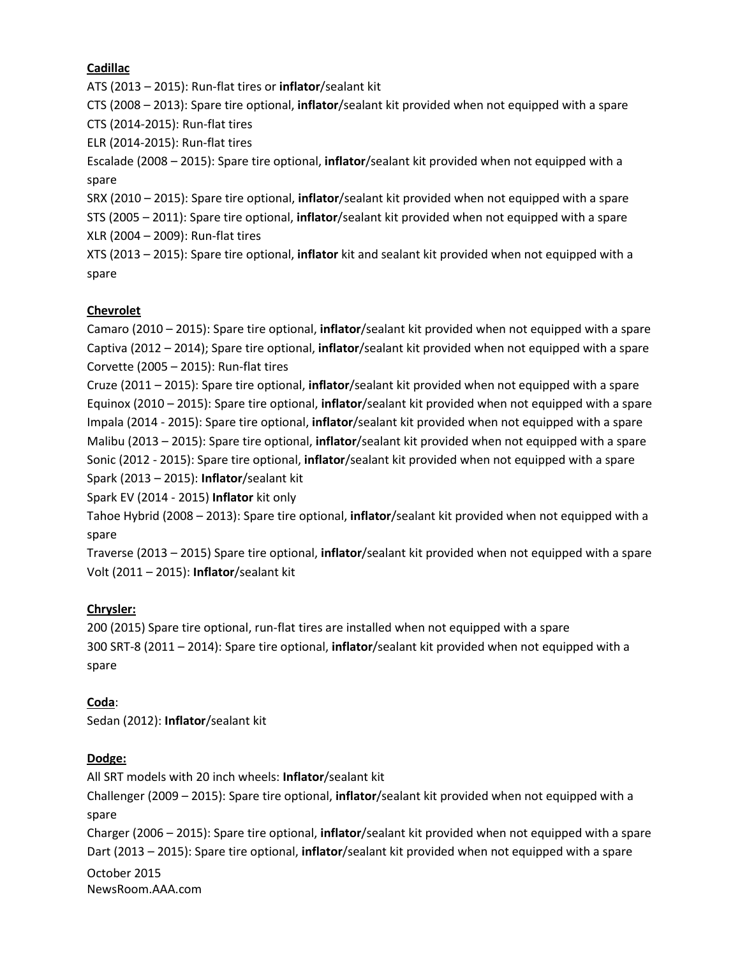#### **Cadillac**

ATS (2013 – 2015): Run-flat tires or **inflator**/sealant kit

CTS (2008 – 2013): Spare tire optional, **inflator**/sealant kit provided when not equipped with a spare CTS (2014-2015): Run-flat tires

ELR (2014-2015): Run-flat tires

Escalade (2008 – 2015): Spare tire optional, **inflator**/sealant kit provided when not equipped with a spare

SRX (2010 – 2015): Spare tire optional, **inflator**/sealant kit provided when not equipped with a spare

STS (2005 – 2011): Spare tire optional, **inflator**/sealant kit provided when not equipped with a spare XLR (2004 – 2009): Run-flat tires

XTS (2013 – 2015): Spare tire optional, **inflator** kit and sealant kit provided when not equipped with a spare

# **Chevrolet**

Camaro (2010 – 2015): Spare tire optional, **inflator**/sealant kit provided when not equipped with a spare Captiva (2012 – 2014); Spare tire optional, **inflator**/sealant kit provided when not equipped with a spare Corvette (2005 – 2015): Run-flat tires

Cruze (2011 – 2015): Spare tire optional, **inflator**/sealant kit provided when not equipped with a spare Equinox (2010 – 2015): Spare tire optional, **inflator**/sealant kit provided when not equipped with a spare Impala (2014 - 2015): Spare tire optional, **inflator**/sealant kit provided when not equipped with a spare Malibu (2013 – 2015): Spare tire optional, **inflator**/sealant kit provided when not equipped with a spare Sonic (2012 - 2015): Spare tire optional, **inflator**/sealant kit provided when not equipped with a spare Spark (2013 – 2015): **Inflator**/sealant kit

Spark EV (2014 - 2015) **Inflator** kit only

Tahoe Hybrid (2008 – 2013): Spare tire optional, **inflator**/sealant kit provided when not equipped with a spare

Traverse (2013 – 2015) Spare tire optional, **inflator**/sealant kit provided when not equipped with a spare Volt (2011 – 2015): **Inflator**/sealant kit

# **Chrysler:**

200 (2015) Spare tire optional, run-flat tires are installed when not equipped with a spare 300 SRT-8 (2011 – 2014): Spare tire optional, **inflator**/sealant kit provided when not equipped with a spare

#### **Coda**:

Sedan (2012): **Inflator**/sealant kit

#### **Dodge:**

October 2015 NewsRoom.AAA.com All SRT models with 20 inch wheels: **Inflator**/sealant kit Challenger (2009 – 2015): Spare tire optional, **inflator**/sealant kit provided when not equipped with a spare Charger (2006 – 2015): Spare tire optional, **inflator**/sealant kit provided when not equipped with a spare Dart (2013 – 2015): Spare tire optional, **inflator**/sealant kit provided when not equipped with a spare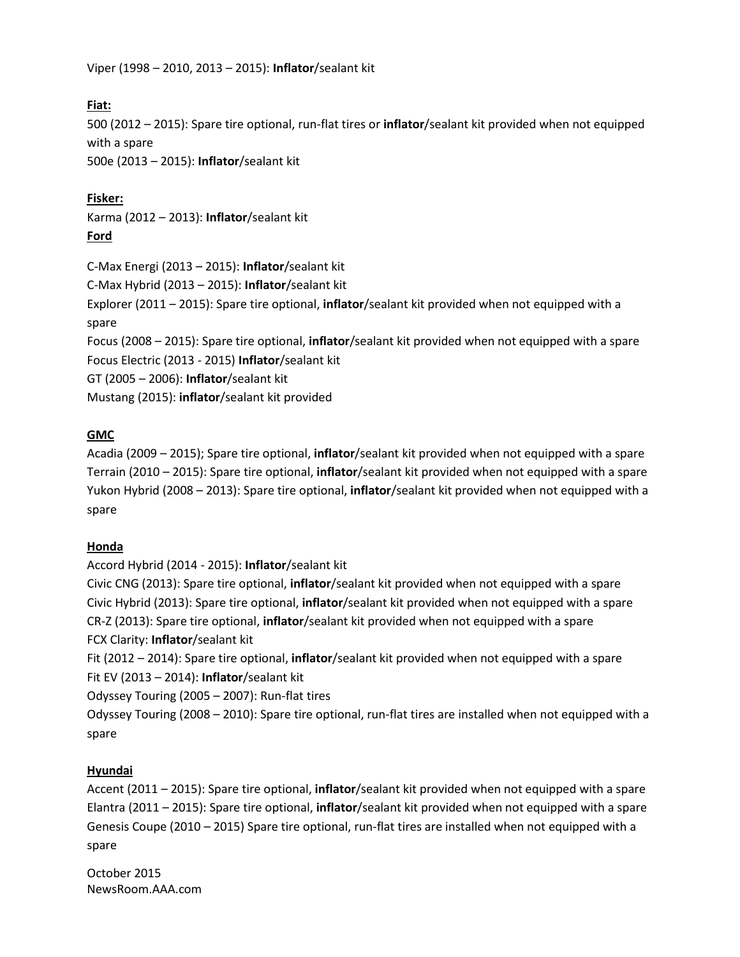Viper (1998 – 2010, 2013 – 2015): **Inflator**/sealant kit

# **Fiat:**

500 (2012 – 2015): Spare tire optional, run-flat tires or **inflator**/sealant kit provided when not equipped with a spare

500e (2013 – 2015): **Inflator**/sealant kit

# **Fisker:**

Karma (2012 – 2013): **Inflator**/sealant kit **Ford**

C-Max Energi (2013 – 2015): **Inflator**/sealant kit C-Max Hybrid (2013 – 2015): **Inflator**/sealant kit Explorer (2011 – 2015): Spare tire optional, **inflator**/sealant kit provided when not equipped with a spare Focus (2008 – 2015): Spare tire optional, **inflator**/sealant kit provided when not equipped with a spare Focus Electric (2013 - 2015) **Inflator**/sealant kit GT (2005 – 2006): **Inflator**/sealant kit Mustang (2015): **inflator**/sealant kit provided

# **GMC**

Acadia (2009 – 2015); Spare tire optional, **inflator**/sealant kit provided when not equipped with a spare Terrain (2010 – 2015): Spare tire optional, **inflator**/sealant kit provided when not equipped with a spare Yukon Hybrid (2008 – 2013): Spare tire optional, **inflator**/sealant kit provided when not equipped with a spare

# **Honda**

Accord Hybrid (2014 - 2015): **Inflator**/sealant kit

Civic CNG (2013): Spare tire optional, **inflator**/sealant kit provided when not equipped with a spare Civic Hybrid (2013): Spare tire optional, **inflator**/sealant kit provided when not equipped with a spare CR-Z (2013): Spare tire optional, **inflator**/sealant kit provided when not equipped with a spare FCX Clarity: **Inflator**/sealant kit

Fit (2012 – 2014): Spare tire optional, **inflator**/sealant kit provided when not equipped with a spare Fit EV (2013 – 2014): **Inflator**/sealant kit

Odyssey Touring (2005 – 2007): Run-flat tires

Odyssey Touring (2008 – 2010): Spare tire optional, run-flat tires are installed when not equipped with a spare

# **Hyundai**

Accent (2011 – 2015): Spare tire optional, **inflator**/sealant kit provided when not equipped with a spare Elantra (2011 – 2015): Spare tire optional, **inflator**/sealant kit provided when not equipped with a spare Genesis Coupe (2010 – 2015) Spare tire optional, run-flat tires are installed when not equipped with a spare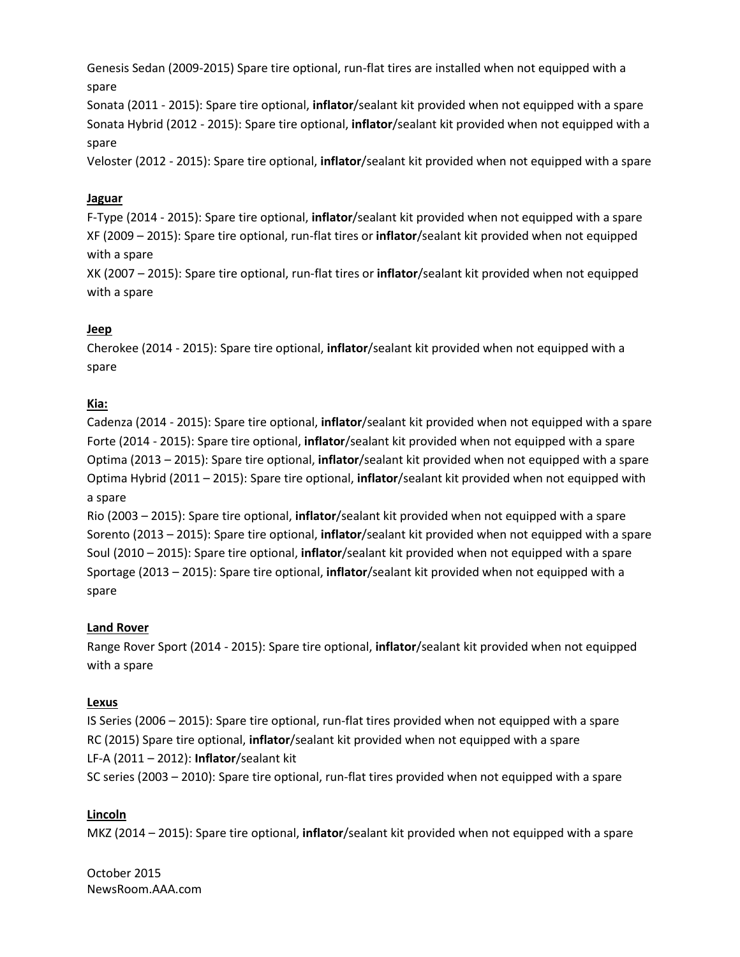Genesis Sedan (2009-2015) Spare tire optional, run-flat tires are installed when not equipped with a spare

Sonata (2011 - 2015): Spare tire optional, **inflator**/sealant kit provided when not equipped with a spare Sonata Hybrid (2012 - 2015): Spare tire optional, **inflator**/sealant kit provided when not equipped with a spare

Veloster (2012 - 2015): Spare tire optional, **inflator**/sealant kit provided when not equipped with a spare

# **Jaguar**

F-Type (2014 - 2015): Spare tire optional, **inflator**/sealant kit provided when not equipped with a spare XF (2009 – 2015): Spare tire optional, run-flat tires or **inflator**/sealant kit provided when not equipped with a spare

XK (2007 – 2015): Spare tire optional, run-flat tires or **inflator**/sealant kit provided when not equipped with a spare

# **Jeep**

Cherokee (2014 - 2015): Spare tire optional, **inflator**/sealant kit provided when not equipped with a spare

# **Kia:**

Cadenza (2014 - 2015): Spare tire optional, **inflator**/sealant kit provided when not equipped with a spare Forte (2014 - 2015): Spare tire optional, **inflator**/sealant kit provided when not equipped with a spare Optima (2013 – 2015): Spare tire optional, **inflator**/sealant kit provided when not equipped with a spare Optima Hybrid (2011 – 2015): Spare tire optional, **inflator**/sealant kit provided when not equipped with a spare

Rio (2003 – 2015): Spare tire optional, **inflator**/sealant kit provided when not equipped with a spare Sorento (2013 – 2015): Spare tire optional, **inflator**/sealant kit provided when not equipped with a spare Soul (2010 – 2015): Spare tire optional, **inflator**/sealant kit provided when not equipped with a spare Sportage (2013 – 2015): Spare tire optional, **inflator**/sealant kit provided when not equipped with a spare

# **Land Rover**

Range Rover Sport (2014 - 2015): Spare tire optional, **inflator**/sealant kit provided when not equipped with a spare

# **Lexus**

IS Series (2006 – 2015): Spare tire optional, run-flat tires provided when not equipped with a spare RC (2015) Spare tire optional, **inflator**/sealant kit provided when not equipped with a spare LF-A (2011 – 2012): **Inflator**/sealant kit SC series (2003 – 2010): Spare tire optional, run-flat tires provided when not equipped with a spare

# **Lincoln**

MKZ (2014 – 2015): Spare tire optional, **inflator**/sealant kit provided when not equipped with a spare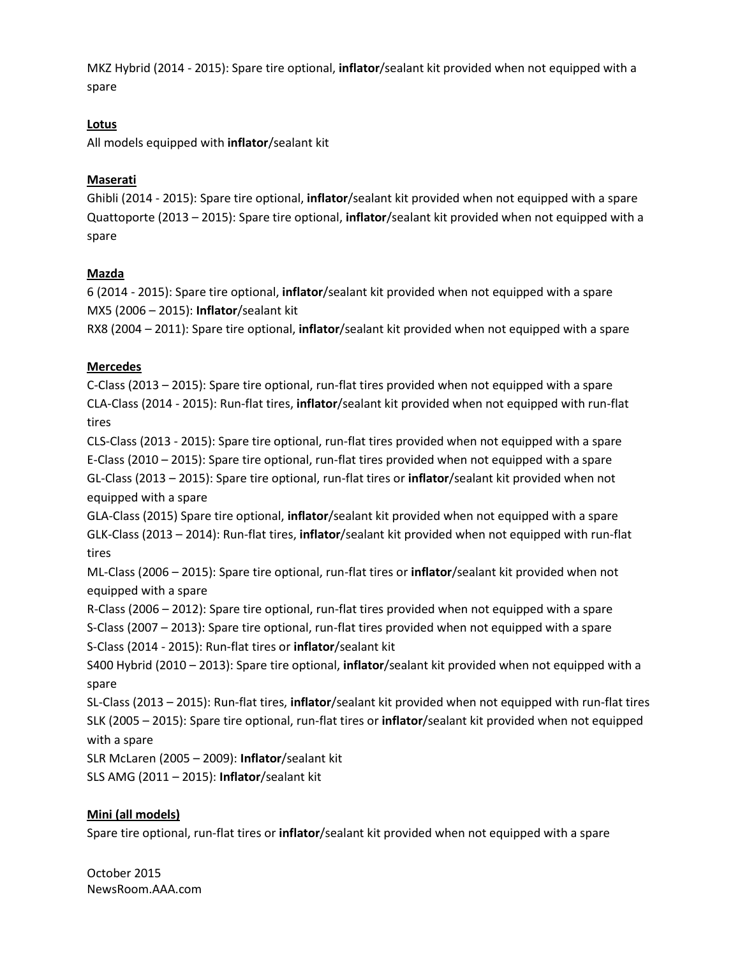MKZ Hybrid (2014 - 2015): Spare tire optional, **inflator**/sealant kit provided when not equipped with a spare

#### **Lotus**

All models equipped with **inflator**/sealant kit

#### **Maserati**

Ghibli (2014 - 2015): Spare tire optional, **inflator**/sealant kit provided when not equipped with a spare Quattoporte (2013 – 2015): Spare tire optional, **inflator**/sealant kit provided when not equipped with a spare

# **Mazda**

6 (2014 - 2015): Spare tire optional, **inflator**/sealant kit provided when not equipped with a spare MX5 (2006 – 2015): **Inflator**/sealant kit

RX8 (2004 – 2011): Spare tire optional, **inflator**/sealant kit provided when not equipped with a spare

#### **Mercedes**

C-Class (2013 – 2015): Spare tire optional, run-flat tires provided when not equipped with a spare CLA-Class (2014 - 2015): Run-flat tires, **inflator**/sealant kit provided when not equipped with run-flat tires

CLS-Class (2013 - 2015): Spare tire optional, run-flat tires provided when not equipped with a spare E-Class (2010 – 2015): Spare tire optional, run-flat tires provided when not equipped with a spare GL-Class (2013 – 2015): Spare tire optional, run-flat tires or **inflator**/sealant kit provided when not equipped with a spare

GLA-Class (2015) Spare tire optional, **inflator**/sealant kit provided when not equipped with a spare GLK-Class (2013 – 2014): Run-flat tires, **inflator**/sealant kit provided when not equipped with run-flat tires

ML-Class (2006 – 2015): Spare tire optional, run-flat tires or **inflator**/sealant kit provided when not equipped with a spare

R-Class (2006 – 2012): Spare tire optional, run-flat tires provided when not equipped with a spare S-Class (2007 – 2013): Spare tire optional, run-flat tires provided when not equipped with a spare S-Class (2014 - 2015): Run-flat tires or **inflator**/sealant kit

S400 Hybrid (2010 – 2013): Spare tire optional, **inflator**/sealant kit provided when not equipped with a spare

SL-Class (2013 – 2015): Run-flat tires, **inflator**/sealant kit provided when not equipped with run-flat tires SLK (2005 – 2015): Spare tire optional, run-flat tires or **inflator**/sealant kit provided when not equipped with a spare

SLR McLaren (2005 – 2009): **Inflator**/sealant kit

SLS AMG (2011 – 2015): **Inflator**/sealant kit

# **Mini (all models)**

Spare tire optional, run-flat tires or **inflator**/sealant kit provided when not equipped with a spare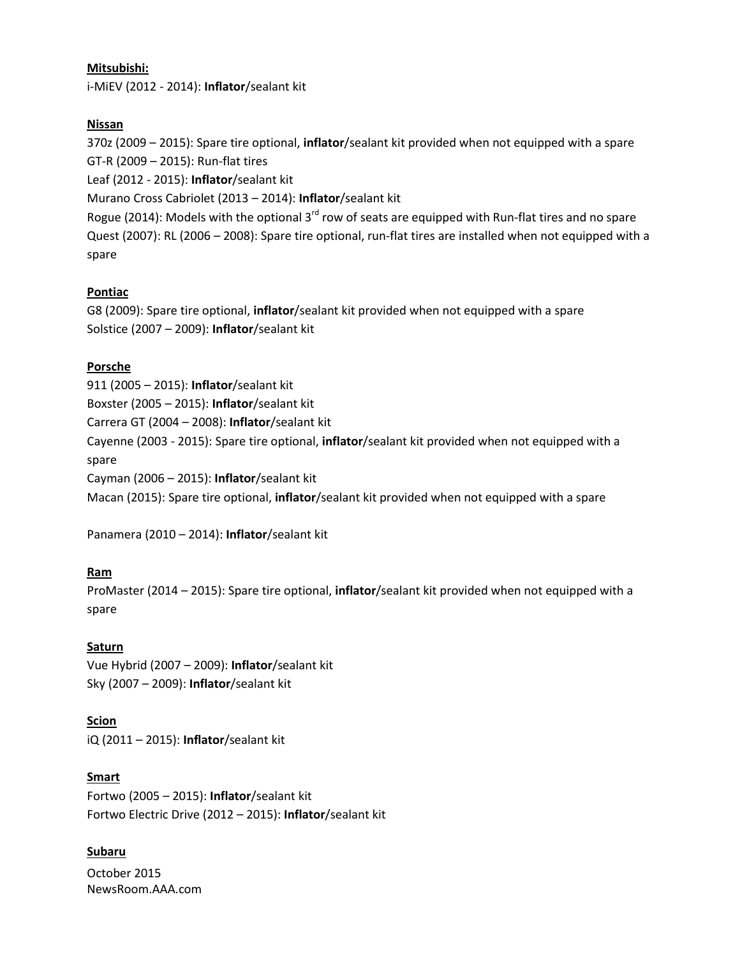#### **Mitsubishi:**

i-MiEV (2012 - 2014): **Inflator**/sealant kit

#### **Nissan**

370z (2009 – 2015): Spare tire optional, **inflator**/sealant kit provided when not equipped with a spare GT-R (2009 – 2015): Run-flat tires

Leaf (2012 - 2015): **Inflator**/sealant kit

Murano Cross Cabriolet (2013 – 2014): **Inflator**/sealant kit

Rogue (2014): Models with the optional 3<sup>rd</sup> row of seats are equipped with Run-flat tires and no spare Quest (2007): RL (2006 – 2008): Spare tire optional, run-flat tires are installed when not equipped with a spare

# **Pontiac**

G8 (2009): Spare tire optional, **inflator**/sealant kit provided when not equipped with a spare Solstice (2007 – 2009): **Inflator**/sealant kit

#### **Porsche**

911 (2005 – 2015): **Inflator**/sealant kit

Boxster (2005 – 2015): **Inflator**/sealant kit

Carrera GT (2004 – 2008): **Inflator**/sealant kit

Cayenne (2003 - 2015): Spare tire optional, **inflator**/sealant kit provided when not equipped with a spare

Cayman (2006 – 2015): **Inflator**/sealant kit

Macan (2015): Spare tire optional, **inflator**/sealant kit provided when not equipped with a spare

Panamera (2010 – 2014): **Inflator**/sealant kit

# **Ram**

ProMaster (2014 – 2015): Spare tire optional, **inflator**/sealant kit provided when not equipped with a spare

# **Saturn**

Vue Hybrid (2007 – 2009): **Inflator**/sealant kit Sky (2007 – 2009): **Inflator**/sealant kit

# **Scion**

iQ (2011 – 2015): **Inflator**/sealant kit

# **Smart**

Fortwo (2005 – 2015): **Inflator**/sealant kit Fortwo Electric Drive (2012 – 2015): **Inflator**/sealant kit

# **Subaru**